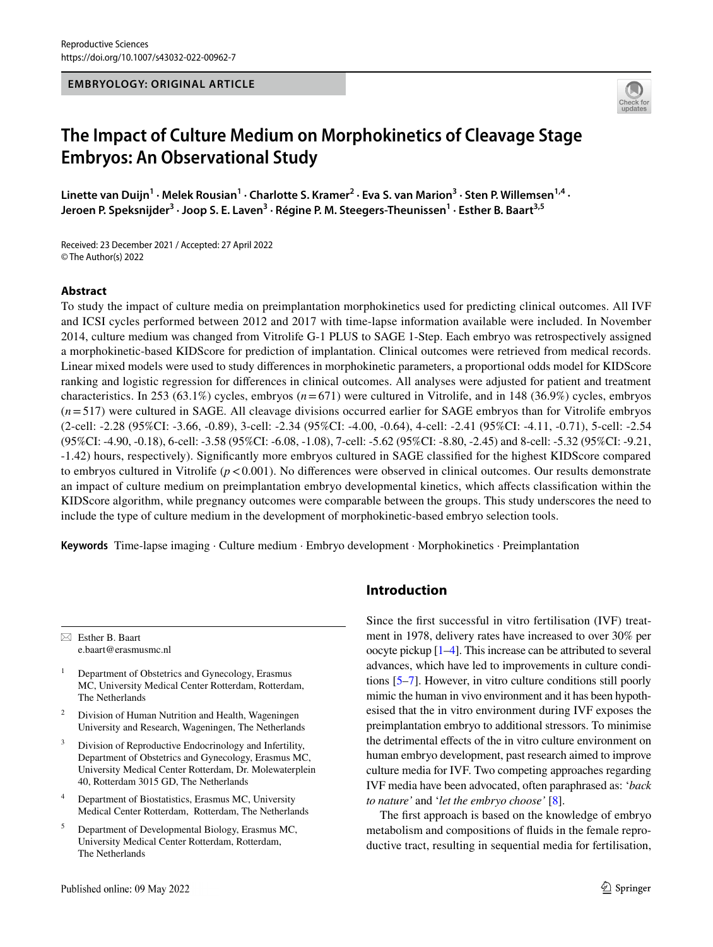**EMBRYOLOGY: ORIGINAL ARTICLE**



# **The Impact of Culture Medium on Morphokinetics of Cleavage Stage Embryos: An Observational Study**

Linette van Duijn<sup>1</sup> · Melek Rousian<sup>1</sup> · Charlotte S. Kramer<sup>2</sup> · Eva S. van Marion<sup>3</sup> · Sten P. Willemsen<sup>1,4</sup> · **Jeroen P. Speksnijder<sup>3</sup> · Joop S. E. Laven3 · Régine P. M. Steegers‑Theunissen1 · Esther B. Baart3,5**

Received: 23 December 2021 / Accepted: 27 April 2022 © The Author(s) 2022

#### **Abstract**

To study the impact of culture media on preimplantation morphokinetics used for predicting clinical outcomes. All IVF and ICSI cycles performed between 2012 and 2017 with time-lapse information available were included. In November 2014, culture medium was changed from Vitrolife G-1 PLUS to SAGE 1-Step. Each embryo was retrospectively assigned a morphokinetic-based KIDScore for prediction of implantation. Clinical outcomes were retrieved from medical records. Linear mixed models were used to study diferences in morphokinetic parameters, a proportional odds model for KIDScore ranking and logistic regression for diferences in clinical outcomes. All analyses were adjusted for patient and treatment characteristics. In 253 (63.1%) cycles, embryos (*n*=671) were cultured in Vitrolife, and in 148 (36.9%) cycles, embryos (*n*=517) were cultured in SAGE. All cleavage divisions occurred earlier for SAGE embryos than for Vitrolife embryos (2-cell: -2.28 (95%CI: -3.66, -0.89), 3-cell: -2.34 (95%CI: -4.00, -0.64), 4-cell: -2.41 (95%CI: -4.11, -0.71), 5-cell: -2.54 (95%CI: -4.90, -0.18), 6-cell: -3.58 (95%CI: -6.08, -1.08), 7-cell: -5.62 (95%CI: -8.80, -2.45) and 8-cell: -5.32 (95%CI: -9.21, -1.42) hours, respectively). Signifcantly more embryos cultured in SAGE classifed for the highest KIDScore compared to embryos cultured in Vitrolife ( $p < 0.001$ ). No differences were observed in clinical outcomes. Our results demonstrate an impact of culture medium on preimplantation embryo developmental kinetics, which afects classifcation within the KIDScore algorithm, while pregnancy outcomes were comparable between the groups. This study underscores the need to include the type of culture medium in the development of morphokinetic-based embryo selection tools.

**Keywords** Time-lapse imaging · Culture medium · Embryo development · Morphokinetics · Preimplantation

 $\boxtimes$  Esther B. Baart e.baart@erasmusmc.nl

- <sup>1</sup> Department of Obstetrics and Gynecology, Erasmus MC, University Medical Center Rotterdam, Rotterdam, The Netherlands
- Division of Human Nutrition and Health, Wageningen University and Research, Wageningen, The Netherlands
- Division of Reproductive Endocrinology and Infertility, Department of Obstetrics and Gynecology, Erasmus MC, University Medical Center Rotterdam, Dr. Molewaterplein 40, Rotterdam 3015 GD, The Netherlands
- <sup>4</sup> Department of Biostatistics, Erasmus MC, University Medical Center Rotterdam, Rotterdam, The Netherlands
- <sup>5</sup> Department of Developmental Biology, Erasmus MC, University Medical Center Rotterdam, Rotterdam, The Netherlands

# **Introduction**

Since the frst successful in vitro fertilisation (IVF) treatment in 1978, delivery rates have increased to over 30% per oocyte pickup [[1–](#page-8-0)[4](#page-8-1)]. This increase can be attributed to several advances, which have led to improvements in culture conditions [\[5](#page-8-2)[–7](#page-8-3)]. However, in vitro culture conditions still poorly mimic the human in vivo environment and it has been hypothesised that the in vitro environment during IVF exposes the preimplantation embryo to additional stressors. To minimise the detrimental efects of the in vitro culture environment on human embryo development, past research aimed to improve culture media for IVF. Two competing approaches regarding IVF media have been advocated, often paraphrased as: '*back to nature'* and '*let the embryo choose'* [[8](#page-8-4)].

The frst approach is based on the knowledge of embryo metabolism and compositions of fuids in the female reproductive tract, resulting in sequential media for fertilisation,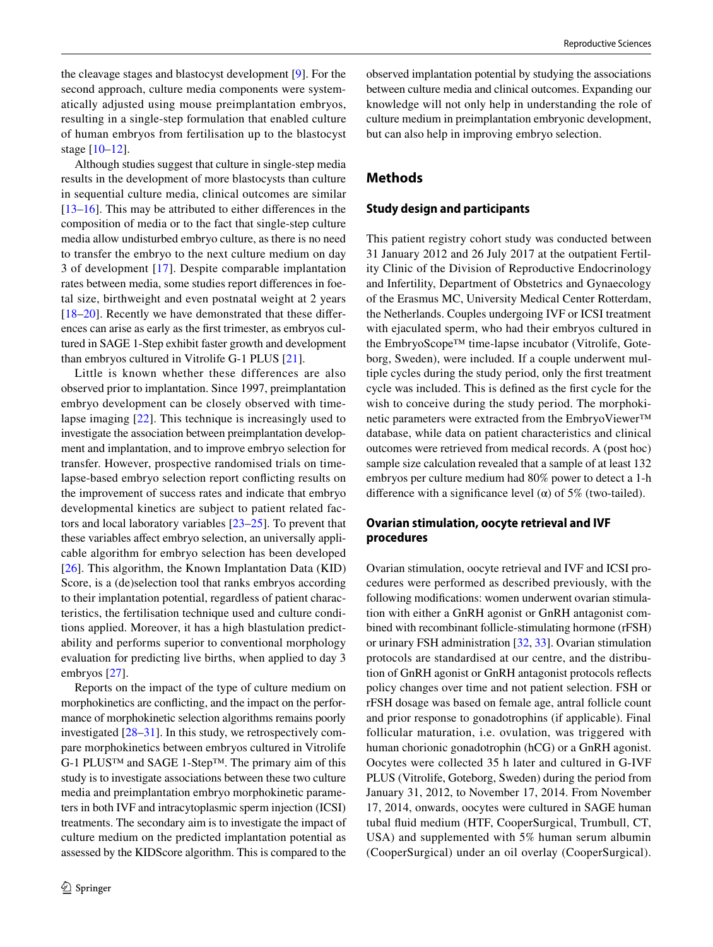the cleavage stages and blastocyst development [[9](#page-8-5)]. For the second approach, culture media components were systematically adjusted using mouse preimplantation embryos, resulting in a single-step formulation that enabled culture of human embryos from fertilisation up to the blastocyst stage [\[10–](#page-8-6)[12\]](#page-8-7).

Although studies suggest that culture in single-step media results in the development of more blastocysts than culture in sequential culture media, clinical outcomes are similar [\[13–](#page-8-8)[16\]](#page-9-0). This may be attributed to either diferences in the composition of media or to the fact that single-step culture media allow undisturbed embryo culture, as there is no need to transfer the embryo to the next culture medium on day 3 of development [[17](#page-9-1)]. Despite comparable implantation rates between media, some studies report diferences in foetal size, birthweight and even postnatal weight at 2 years [\[18–](#page-9-2)[20\]](#page-9-3). Recently we have demonstrated that these diferences can arise as early as the frst trimester, as embryos cultured in SAGE 1-Step exhibit faster growth and development than embryos cultured in Vitrolife G-1 PLUS [\[21](#page-9-4)].

Little is known whether these differences are also observed prior to implantation. Since 1997, preimplantation embryo development can be closely observed with timelapse imaging [[22\]](#page-9-5). This technique is increasingly used to investigate the association between preimplantation development and implantation, and to improve embryo selection for transfer. However, prospective randomised trials on timelapse-based embryo selection report conficting results on the improvement of success rates and indicate that embryo developmental kinetics are subject to patient related factors and local laboratory variables [[23–](#page-9-6)[25\]](#page-9-7). To prevent that these variables afect embryo selection, an universally applicable algorithm for embryo selection has been developed [\[26\]](#page-9-8). This algorithm, the Known Implantation Data (KID) Score, is a (de)selection tool that ranks embryos according to their implantation potential, regardless of patient characteristics, the fertilisation technique used and culture conditions applied. Moreover, it has a high blastulation predictability and performs superior to conventional morphology evaluation for predicting live births, when applied to day 3 embryos [[27\]](#page-9-9).

Reports on the impact of the type of culture medium on morphokinetics are conficting, and the impact on the performance of morphokinetic selection algorithms remains poorly investigated [[28](#page-9-10)[–31](#page-9-11)]. In this study, we retrospectively compare morphokinetics between embryos cultured in Vitrolife G-1 PLUS™ and SAGE 1-Step™. The primary aim of this study is to investigate associations between these two culture media and preimplantation embryo morphokinetic parameters in both IVF and intracytoplasmic sperm injection (ICSI) treatments. The secondary aim is to investigate the impact of culture medium on the predicted implantation potential as assessed by the KIDScore algorithm. This is compared to the observed implantation potential by studying the associations between culture media and clinical outcomes. Expanding our knowledge will not only help in understanding the role of culture medium in preimplantation embryonic development, but can also help in improving embryo selection.

## **Methods**

### **Study design and participants**

This patient registry cohort study was conducted between 31 January 2012 and 26 July 2017 at the outpatient Fertility Clinic of the Division of Reproductive Endocrinology and Infertility, Department of Obstetrics and Gynaecology of the Erasmus MC, University Medical Center Rotterdam, the Netherlands. Couples undergoing IVF or ICSI treatment with ejaculated sperm, who had their embryos cultured in the EmbryoScope™ time-lapse incubator (Vitrolife, Goteborg, Sweden), were included. If a couple underwent multiple cycles during the study period, only the frst treatment cycle was included. This is defned as the frst cycle for the wish to conceive during the study period. The morphokinetic parameters were extracted from the EmbryoViewer™ database, while data on patient characteristics and clinical outcomes were retrieved from medical records. A (post hoc) sample size calculation revealed that a sample of at least 132 embryos per culture medium had 80% power to detect a 1-h difference with a significance level ( $\alpha$ ) of 5% (two-tailed).

## **Ovarian stimulation, oocyte retrieval and IVF procedures**

Ovarian stimulation, oocyte retrieval and IVF and ICSI procedures were performed as described previously, with the following modifcations: women underwent ovarian stimulation with either a GnRH agonist or GnRH antagonist combined with recombinant follicle-stimulating hormone (rFSH) or urinary FSH administration [\[32](#page-9-12), [33\]](#page-9-13). Ovarian stimulation protocols are standardised at our centre, and the distribution of GnRH agonist or GnRH antagonist protocols refects policy changes over time and not patient selection. FSH or rFSH dosage was based on female age, antral follicle count and prior response to gonadotrophins (if applicable). Final follicular maturation, i.e. ovulation, was triggered with human chorionic gonadotrophin (hCG) or a GnRH agonist. Oocytes were collected 35 h later and cultured in G-IVF PLUS (Vitrolife, Goteborg, Sweden) during the period from January 31, 2012, to November 17, 2014. From November 17, 2014, onwards, oocytes were cultured in SAGE human tubal fuid medium (HTF, CooperSurgical, Trumbull, CT, USA) and supplemented with 5% human serum albumin (CooperSurgical) under an oil overlay (CooperSurgical).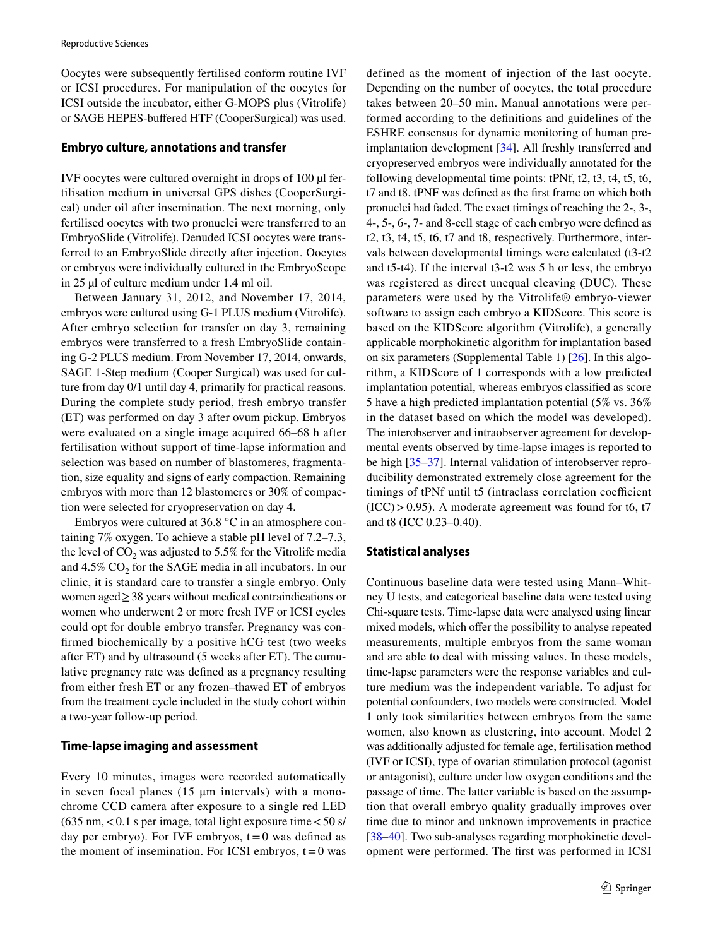Oocytes were subsequently fertilised conform routine IVF or ICSI procedures. For manipulation of the oocytes for ICSI outside the incubator, either G-MOPS plus (Vitrolife) or SAGE HEPES-buffered HTF (CooperSurgical) was used.

#### **Embryo culture, annotations and transfer**

IVF oocytes were cultured overnight in drops of 100 µl fertilisation medium in universal GPS dishes (CooperSurgical) under oil after insemination. The next morning, only fertilised oocytes with two pronuclei were transferred to an EmbryoSlide (Vitrolife). Denuded ICSI oocytes were transferred to an EmbryoSlide directly after injection. Oocytes or embryos were individually cultured in the EmbryoScope in 25 µl of culture medium under 1.4 ml oil.

Between January 31, 2012, and November 17, 2014, embryos were cultured using G-1 PLUS medium (Vitrolife). After embryo selection for transfer on day 3, remaining embryos were transferred to a fresh EmbryoSlide containing G-2 PLUS medium. From November 17, 2014, onwards, SAGE 1-Step medium (Cooper Surgical) was used for culture from day 0/1 until day 4, primarily for practical reasons. During the complete study period, fresh embryo transfer (ET) was performed on day 3 after ovum pickup. Embryos were evaluated on a single image acquired 66–68 h after fertilisation without support of time-lapse information and selection was based on number of blastomeres, fragmentation, size equality and signs of early compaction. Remaining embryos with more than 12 blastomeres or 30% of compaction were selected for cryopreservation on day 4.

Embryos were cultured at 36.8 °C in an atmosphere containing 7% oxygen. To achieve a stable pH level of 7.2–7.3, the level of  $CO<sub>2</sub>$  was adjusted to 5.5% for the Vitrolife media and  $4.5\%$  CO<sub>2</sub> for the SAGE media in all incubators. In our clinic, it is standard care to transfer a single embryo. Only women aged≥38 years without medical contraindications or women who underwent 2 or more fresh IVF or ICSI cycles could opt for double embryo transfer. Pregnancy was confrmed biochemically by a positive hCG test (two weeks after ET) and by ultrasound (5 weeks after ET). The cumulative pregnancy rate was defned as a pregnancy resulting from either fresh ET or any frozen–thawed ET of embryos from the treatment cycle included in the study cohort within a two-year follow-up period.

#### **Time‑lapse imaging and assessment**

Every 10 minutes, images were recorded automatically in seven focal planes  $(15 \mu m)$  intervals) with a monochrome CCD camera after exposure to a single red LED  $(635 \text{ nm}, < 0.1 \text{ s per image},$  total light exposure time  $< 50 \text{ s/s}$ day per embryo). For IVF embryos,  $t=0$  was defined as the moment of insemination. For ICSI embryos,  $t=0$  was defined as the moment of injection of the last oocyte. Depending on the number of oocytes, the total procedure takes between 20–50 min. Manual annotations were performed according to the defnitions and guidelines of the ESHRE consensus for dynamic monitoring of human preimplantation development [\[34](#page-9-14)]. All freshly transferred and cryopreserved embryos were individually annotated for the following developmental time points: tPNf, t2, t3, t4, t5, t6, t7 and t8. tPNF was defned as the frst frame on which both pronuclei had faded. The exact timings of reaching the 2-, 3-, 4-, 5-, 6-, 7- and 8-cell stage of each embryo were defned as t2, t3, t4, t5, t6, t7 and t8, respectively. Furthermore, intervals between developmental timings were calculated (t3-t2 and t5-t4). If the interval t3-t2 was 5 h or less, the embryo was registered as direct unequal cleaving (DUC). These parameters were used by the Vitrolife® embryo-viewer software to assign each embryo a KIDScore. This score is based on the KIDScore algorithm (Vitrolife), a generally applicable morphokinetic algorithm for implantation based on six parameters (Supplemental Table 1) [[26](#page-9-8)]. In this algorithm, a KIDScore of 1 corresponds with a low predicted implantation potential, whereas embryos classifed as score 5 have a high predicted implantation potential (5% vs. 36% in the dataset based on which the model was developed). The interobserver and intraobserver agreement for developmental events observed by time-lapse images is reported to be high [\[35](#page-9-15)[–37](#page-9-16)]. Internal validation of interobserver reproducibility demonstrated extremely close agreement for the timings of tPNf until t5 (intraclass correlation coefficient  $(ICC) > 0.95)$ . A moderate agreement was found for t6, t7 and t8 (ICC 0.23–0.40).

#### **Statistical analyses**

Continuous baseline data were tested using Mann–Whitney U tests, and categorical baseline data were tested using Chi-square tests. Time-lapse data were analysed using linear mixed models, which offer the possibility to analyse repeated measurements, multiple embryos from the same woman and are able to deal with missing values. In these models, time-lapse parameters were the response variables and culture medium was the independent variable. To adjust for potential confounders, two models were constructed. Model 1 only took similarities between embryos from the same women, also known as clustering, into account. Model 2 was additionally adjusted for female age, fertilisation method (IVF or ICSI), type of ovarian stimulation protocol (agonist or antagonist), culture under low oxygen conditions and the passage of time. The latter variable is based on the assumption that overall embryo quality gradually improves over time due to minor and unknown improvements in practice [[38–](#page-9-17)[40\]](#page-9-18). Two sub-analyses regarding morphokinetic development were performed. The frst was performed in ICSI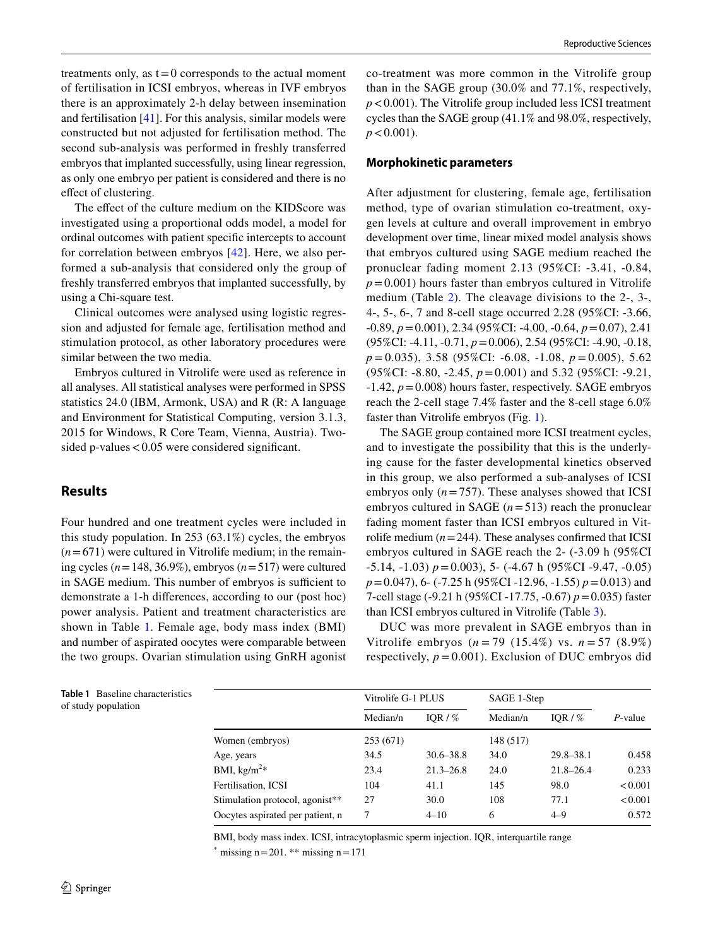treatments only, as  $t=0$  corresponds to the actual moment of fertilisation in ICSI embryos, whereas in IVF embryos there is an approximately 2-h delay between insemination and fertilisation [[41\]](#page-9-19). For this analysis, similar models were constructed but not adjusted for fertilisation method. The second sub-analysis was performed in freshly transferred embryos that implanted successfully, using linear regression, as only one embryo per patient is considered and there is no effect of clustering.

The effect of the culture medium on the KIDScore was investigated using a proportional odds model, a model for ordinal outcomes with patient specifc intercepts to account for correlation between embryos [\[42\]](#page-9-20). Here, we also performed a sub-analysis that considered only the group of freshly transferred embryos that implanted successfully, by using a Chi-square test.

Clinical outcomes were analysed using logistic regression and adjusted for female age, fertilisation method and stimulation protocol, as other laboratory procedures were similar between the two media.

Embryos cultured in Vitrolife were used as reference in all analyses. All statistical analyses were performed in SPSS statistics 24.0 (IBM, Armonk, USA) and R (R: A language and Environment for Statistical Computing, version 3.1.3, 2015 for Windows, R Core Team, Vienna, Austria). Twosided p-values  $< 0.05$  were considered significant.

## **Results**

Four hundred and one treatment cycles were included in this study population. In 253 (63.1%) cycles, the embryos  $(n=671)$  were cultured in Vitrolife medium; in the remaining cycles (*n*=148, 36.9%), embryos (*n*=517) were cultured in SAGE medium. This number of embryos is sufficient to demonstrate a 1-h diferences, according to our (post hoc) power analysis. Patient and treatment characteristics are shown in Table [1.](#page-3-0) Female age, body mass index (BMI) and number of aspirated oocytes were comparable between the two groups. Ovarian stimulation using GnRH agonist co-treatment was more common in the Vitrolife group than in the SAGE group (30.0% and 77.1%, respectively, *p*<0.001). The Vitrolife group included less ICSI treatment cycles than the SAGE group (41.1% and 98.0%, respectively,  $p < 0.001$ ).

#### **Morphokinetic parameters**

After adjustment for clustering, female age, fertilisation method, type of ovarian stimulation co-treatment, oxygen levels at culture and overall improvement in embryo development over time, linear mixed model analysis shows that embryos cultured using SAGE medium reached the pronuclear fading moment 2.13 (95%CI: -3.41, -0.84,  $p=0.001$ ) hours faster than embryos cultured in Vitrolife medium (Table [2](#page-4-0)). The cleavage divisions to the 2-, 3-, 4-, 5-, 6-, 7 and 8-cell stage occurred 2.28 (95%CI: -3.66, -0.89, *p*=0.001), 2.34 (95%CI: -4.00, -0.64, *p*=0.07), 2.41 (95%CI: -4.11, -0.71, *p*=0.006), 2.54 (95%CI: -4.90, -0.18, *p* = 0.035), 3.58 (95%CI: -6.08, -1.08, *p* = 0.005), 5.62 (95%CI: -8.80, -2.45, *p*=0.001) and 5.32 (95%CI: -9.21, -1.42, *p*=0.008) hours faster, respectively. SAGE embryos reach the 2-cell stage 7.4% faster and the 8-cell stage 6.0% faster than Vitrolife embryos (Fig. [1](#page-4-1)).

The SAGE group contained more ICSI treatment cycles, and to investigate the possibility that this is the underlying cause for the faster developmental kinetics observed in this group, we also performed a sub-analyses of ICSI embryos only  $(n=757)$ . These analyses showed that ICSI embryos cultured in SAGE  $(n=513)$  reach the pronuclear fading moment faster than ICSI embryos cultured in Vitrolife medium  $(n=244)$ . These analyses confirmed that ICSI embryos cultured in SAGE reach the 2- (-3.09 h (95%CI -5.14, -1.03) *p*=0.003), 5- (-4.67 h (95%CI -9.47, -0.05) *p*=0.047), 6- (-7.25 h (95%CI -12.96, -1.55) *p*=0.013) and 7-cell stage (-9.21 h (95%CI -17.75, -0.67) *p*=0.035) faster than ICSI embryos cultured in Vitrolife (Table [3\)](#page-5-0).

DUC was more prevalent in SAGE embryos than in Vitrolife embryos (*n* = 79 (15.4%) vs. *n* = 57 (8.9%) respectively,  $p = 0.001$ ). Exclusion of DUC embryos did

|                                  | Vitrolife G-1 PLUS |               | SAGE 1-Step |               |         |
|----------------------------------|--------------------|---------------|-------------|---------------|---------|
|                                  | Median/n           | IOR / $%$     | Median/n    | IOR / $%$     | P-value |
| Women (embryos)                  | 253 (671)          |               | 148 (517)   |               |         |
| Age, years                       | 34.5               | $30.6 - 38.8$ | 34.0        | $29.8 - 38.1$ | 0.458   |
| BMI, $\text{kg/m}^2*$            | 23.4               | $21.3 - 26.8$ | 24.0        | $21.8 - 26.4$ | 0.233   |
| Fertilisation, ICSI              | 104                | 41.1          | 145         | 98.0          | < 0.001 |
| Stimulation protocol, agonist**  | 27                 | 30.0          | 108         | 77.1          | < 0.001 |
| Oocytes aspirated per patient, n | 7                  | $4 - 10$      | 6           | $4 - 9$       | 0.572   |

BMI, body mass index. ICSI, intracytoplasmic sperm injection. IQR, interquartile range

\* missing  $n=201$ . \*\* missing  $n=171$ 

of study population

<span id="page-3-0"></span>**Table 1** Baseline characteristics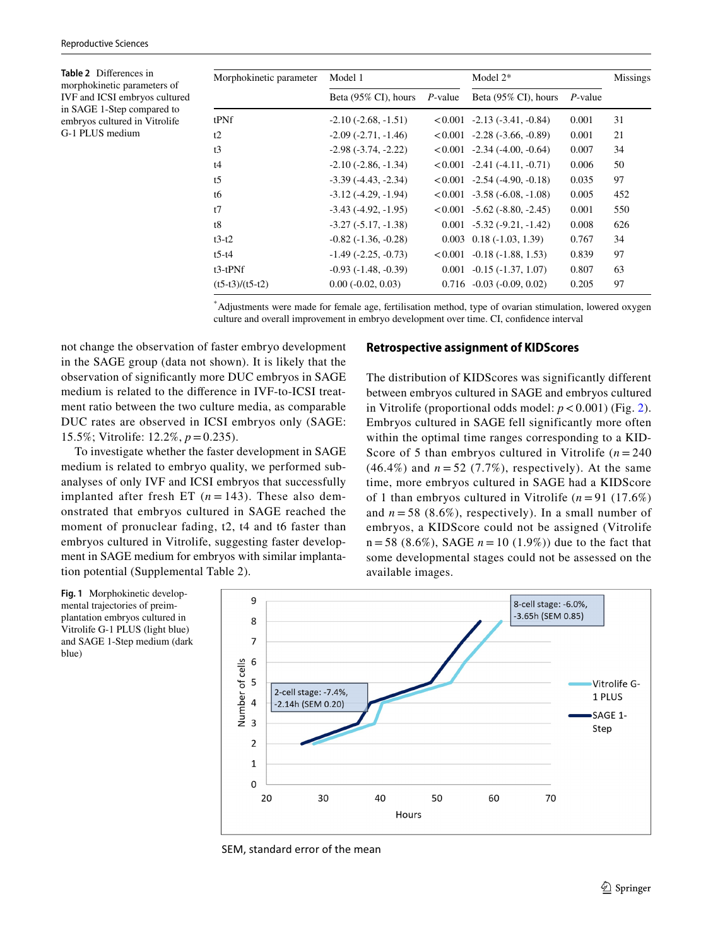<span id="page-4-0"></span>**Table 2** Diferences in morphokinetic parameters of IVF and ICSI embryos cultured in SAGE 1-Step compared to embryos cultured in Vitrolife G-1 PLUS medium

| Morphokinetic parameter | Model 1                       |            | Model $2*$                       | <b>Missings</b> |     |
|-------------------------|-------------------------------|------------|----------------------------------|-----------------|-----|
|                         | Beta (95% CI), hours          | $P$ -value | Beta $(95\% \text{ CI})$ , hours | $P$ -value      |     |
| tPNf                    | $-2.10(-2.68, -1.51)$         |            | $< 0.001 -2.13(-3.41, -0.84)$    | 0.001           | 31  |
| t2                      | $-2.09(-2.71, -1.46)$         |            | $< 0.001$ -2.28 (-3.66, -0.89)   | 0.001           | 21  |
| t3                      | $-2.98(-3.74, -2.22)$         |            | $<0.001$ -2.34 (-4.00, -0.64)    | 0.007           | 34  |
| t4                      | $-2.10(-2.86, -1.34)$         |            | $< 0.001 -2.41(-4.11, -0.71)$    | 0.006           | 50  |
| t <sub>5</sub>          | $-3.39(-4.43, -2.34)$         |            | $<0.001$ -2.54 (-4.90, -0.18)    | 0.035           | 97  |
| t6                      | $-3.12(-4.29, -1.94)$         |            | $<0.001$ -3.58 (-6.08, -1.08)    | 0.005           | 452 |
| t7                      | $-3.43$ $(-4.92, -1.95)$      |            | $<0.001$ -5.62 (-8.80, -2.45)    | 0.001           | 550 |
| t8                      | $-3.27(-5.17,-1.38)$          |            | $0.001 -5.32(-9.21, -1.42)$      | 0.008           | 626 |
| $t3-t2$                 | $-0.82$ $(-1.36, -0.28)$      |            | $0.003$ $0.18$ ( $-1.03$ , 1.39) | 0.767           | 34  |
| $t$ 5-t $4$             | $-1.49$ ( $-2.25$ , $-0.73$ ) |            | $< 0.001 - 0.18 (-1.88, 1.53)$   | 0.839           | 97  |
| $t3-tPNf$               | $-0.93(-1.48, -0.39)$         |            | $0.001 -0.15(-1.37, 1.07)$       | 0.807           | 63  |
| $(t5-t3)/(t5-t2)$       | $0.00(-0.02, 0.03)$           |            | $0.716 - 0.03 (-0.09, 0.02)$     | 0.205           | 97  |

\* Adjustments were made for female age, fertilisation method, type of ovarian stimulation, lowered oxygen culture and overall improvement in embryo development over time. CI, confdence interval

not change the observation of faster embryo development in the SAGE group (data not shown). It is likely that the observation of signifcantly more DUC embryos in SAGE medium is related to the diference in IVF-to-ICSI treatment ratio between the two culture media, as comparable DUC rates are observed in ICSI embryos only (SAGE: 15.5%; Vitrolife: 12.2%, *p*=0.235).

To investigate whether the faster development in SAGE medium is related to embryo quality, we performed subanalyses of only IVF and ICSI embryos that successfully implanted after fresh ET  $(n = 143)$ . These also demonstrated that embryos cultured in SAGE reached the moment of pronuclear fading, t2, t4 and t6 faster than embryos cultured in Vitrolife, suggesting faster development in SAGE medium for embryos with similar implantation potential (Supplemental Table 2).

#### **Retrospective assignment of KIDScores**

The distribution of KIDScores was significantly different between embryos cultured in SAGE and embryos cultured in Vitrolife (proportional odds model:  $p < 0.001$ ) (Fig. [2](#page-5-1)). Embryos cultured in SAGE fell significantly more often within the optimal time ranges corresponding to a KID-Score of 5 than embryos cultured in Vitrolife  $(n = 240)$  $(46.4\%)$  and  $n = 52$  (7.7%), respectively). At the same time, more embryos cultured in SAGE had a KIDScore of 1 than embryos cultured in Vitrolife  $(n=91)$  (17.6%) and  $n = 58$  (8.6%), respectively). In a small number of embryos, a KIDScore could not be assigned (Vitrolife  $n = 58$  (8.6%), SAGE  $n = 10$  (1.9%)) due to the fact that some developmental stages could not be assessed on the available images.



SEM, standard error of the mean

<span id="page-4-1"></span>**Fig. 1** Morphokinetic developmental trajectories of preimplantation embryos cultured in Vitrolife G-1 PLUS (light blue) and SAGE 1-Step medium (dark blue)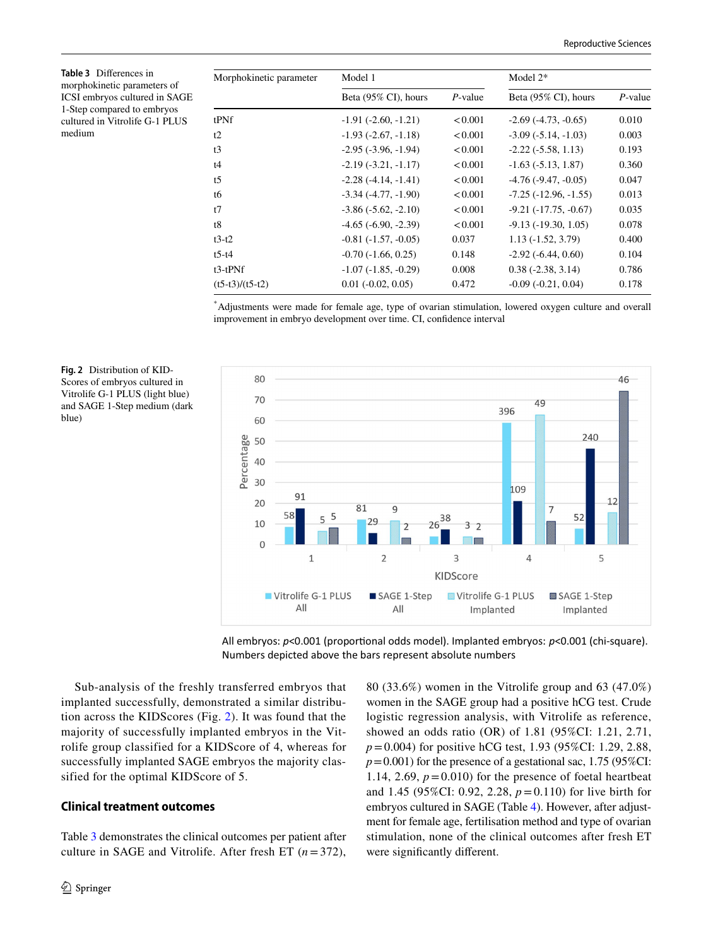<span id="page-5-0"></span>**Table 3** Diferences in morphokinetic parameters of ICSI embryos cultured in SAGE 1-Step compared to embryos cultured in Vitrolife G-1 PLUS medium

<span id="page-5-1"></span>**Fig. 2** Distribution of KID-Scores of embryos cultured in Vitrolife G-1 PLUS (light blue) and SAGE 1-Step medium (dark

blue)

| Morphokinetic parameter | Model 1                     |            | Model $2*$                |            |  |
|-------------------------|-----------------------------|------------|---------------------------|------------|--|
|                         | Beta (95% CI), hours        | $P$ -value | Beta (95% CI), hours      | $P$ -value |  |
| tPNf                    | $-1.91(-2.60, -1.21)$       | < 0.001    | $-2.69(-4.73, -0.65)$     | 0.010      |  |
| t2                      | $-1.93$ $(-2.67, -1.18)$    | < 0.001    | $-3.09(-5.14, -1.03)$     | 0.003      |  |
| t3                      | $-2.95(-3.96, -1.94)$       | < 0.001    | $-2.22(-5.58, 1.13)$      | 0.193      |  |
| t4                      | $-2.19(-3.21, -1.17)$       | < 0.001    | $-1.63(-5.13, 1.87)$      | 0.360      |  |
| t <sub>5</sub>          | $-2.28(-4.14,-1.41)$        | < 0.001    | $-4.76$ $(-9.47, -0.05)$  | 0.047      |  |
| t6                      | $-3.34$ $(-4.77, -1.90)$    | < 0.001    | $-7.25(-12.96, -1.55)$    | 0.013      |  |
| t7                      | $-3.86(-5.62,-2.10)$        | < 0.001    | $-9.21$ $(-17.75, -0.67)$ | 0.035      |  |
| t8                      | $-4.65$ ( $-6.90, -2.39$ )  | < 0.001    | $-9.13(-19.30, 1.05)$     | 0.078      |  |
| $t3-t2$                 | $-0.81(-1.57, -0.05)$       | 0.037      | $1.13(-1.52, 3.79)$       | 0.400      |  |
| $t$ 5-t4                | $-0.70(-1.66, 0.25)$        | 0.148      | $-2.92(-6.44, 0.60)$      | 0.104      |  |
| $t3-tPNf$               | $-1.07(-1.85, -0.29)$       | 0.008      | $0.38(-2.38, 3.14)$       | 0.786      |  |
| $(t5-t3)/(t5-t2)$       | $0.01$ ( $-0.02$ , $0.05$ ) | 0.472      | $-0.09$ $(-0.21, 0.04)$   | 0.178      |  |

\* Adjustments were made for female age, type of ovarian stimulation, lowered oxygen culture and overall improvement in embryo development over time. CI, confdence interval



All embryos:  $p$ <0.001 (proportional odds model). Implanted embryos:  $p$ <0.001 (chi-square). Numbers depicted above the bars represent absolute numbers

Sub-analysis of the freshly transferred embryos that implanted successfully, demonstrated a similar distribution across the KIDScores (Fig. [2](#page-5-1)). It was found that the majority of successfully implanted embryos in the Vitrolife group classified for a KIDScore of 4, whereas for successfully implanted SAGE embryos the majority classified for the optimal KIDScore of 5.

#### **Clinical treatment outcomes**

Table [3](#page-5-0) demonstrates the clinical outcomes per patient after culture in SAGE and Vitrolife. After fresh ET (*n*=372),

80 (33.6%) women in the Vitrolife group and 63 (47.0%) women in the SAGE group had a positive hCG test. Crude logistic regression analysis, with Vitrolife as reference, showed an odds ratio (OR) of 1.81 (95%CI: 1.21, 2.71, *p*=0.004) for positive hCG test, 1.93 (95%CI: 1.29, 2.88,  $p=0.001$ ) for the presence of a gestational sac, 1.75 (95%CI: 1.14, 2.69,  $p = 0.010$ ) for the presence of foetal heartbeat and 1.45 (95%CI: 0.92, 2.28, *p*=0.110) for live birth for embryos cultured in SAGE (Table [4](#page-6-0)). However, after adjustment for female age, fertilisation method and type of ovarian stimulation, none of the clinical outcomes after fresh ET were signifcantly diferent.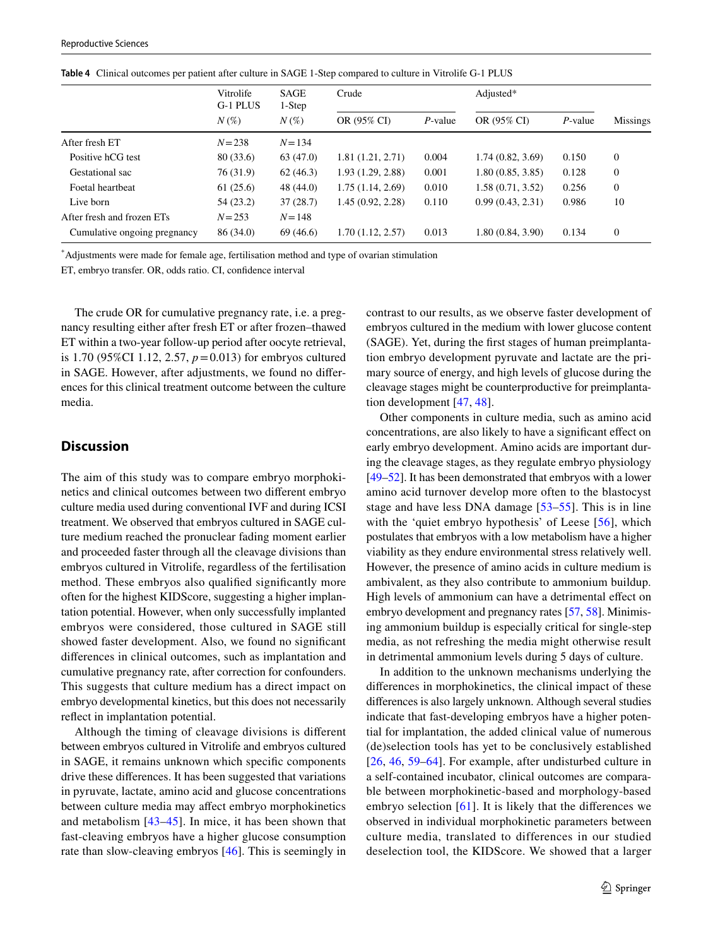|                              | Vitrolife<br>G-1 PLUS | <b>SAGE</b><br>1-Step<br>$N(\%)$ | Crude            |            | Adjusted*        |            |                |
|------------------------------|-----------------------|----------------------------------|------------------|------------|------------------|------------|----------------|
|                              | $N(\%)$               |                                  | OR (95% CI)      | $P$ -value | OR (95% CI)      | $P$ -value | Missings       |
| After fresh ET               | $N = 238$             | $N = 134$                        |                  |            |                  |            |                |
| Positive hCG test            | 80 (33.6)             | 63(47.0)                         | 1.81(1.21, 2.71) | 0.004      | 1.74(0.82, 3.69) | 0.150      | $\mathbf{0}$   |
| Gestational sac              | 76 (31.9)             | 62(46.3)                         | 1.93(1.29, 2.88) | 0.001      | 1.80(0.85, 3.85) | 0.128      | $\overline{0}$ |
| Foetal heartheat             | 61(25.6)              | 48 (44.0)                        | 1.75(1.14, 2.69) | 0.010      | 1.58(0.71, 3.52) | 0.256      | $\overline{0}$ |
| Live born                    | 54 (23.2)             | 37(28.7)                         | 1.45(0.92, 2.28) | 0.110      | 0.99(0.43, 2.31) | 0.986      | 10             |
| After fresh and frozen ETs   | $N = 253$             | $N = 148$                        |                  |            |                  |            |                |
| Cumulative ongoing pregnancy | 86 (34.0)             | 69 (46.6)                        | 1.70(1.12, 2.57) | 0.013      | 1.80(0.84, 3.90) | 0.134      | $\overline{0}$ |

<span id="page-6-0"></span>**Table 4** Clinical outcomes per patient after culture in SAGE 1-Step compared to culture in Vitrolife G-1 PLUS

\* Adjustments were made for female age, fertilisation method and type of ovarian stimulation

ET, embryo transfer. OR, odds ratio. CI, confdence interval

The crude OR for cumulative pregnancy rate, i.e. a pregnancy resulting either after fresh ET or after frozen–thawed ET within a two-year follow-up period after oocyte retrieval, is 1.70 (95%CI 1.12, 2.57, *p*=0.013) for embryos cultured in SAGE. However, after adjustments, we found no diferences for this clinical treatment outcome between the culture media.

## **Discussion**

The aim of this study was to compare embryo morphokinetics and clinical outcomes between two diferent embryo culture media used during conventional IVF and during ICSI treatment. We observed that embryos cultured in SAGE culture medium reached the pronuclear fading moment earlier and proceeded faster through all the cleavage divisions than embryos cultured in Vitrolife, regardless of the fertilisation method. These embryos also qualifed signifcantly more often for the highest KIDScore, suggesting a higher implantation potential. However, when only successfully implanted embryos were considered, those cultured in SAGE still showed faster development. Also, we found no signifcant diferences in clinical outcomes, such as implantation and cumulative pregnancy rate, after correction for confounders. This suggests that culture medium has a direct impact on embryo developmental kinetics, but this does not necessarily refect in implantation potential.

Although the timing of cleavage divisions is diferent between embryos cultured in Vitrolife and embryos cultured in SAGE, it remains unknown which specifc components drive these diferences. It has been suggested that variations in pyruvate, lactate, amino acid and glucose concentrations between culture media may afect embryo morphokinetics and metabolism [[43–](#page-9-21)[45](#page-9-22)]. In mice, it has been shown that fast-cleaving embryos have a higher glucose consumption rate than slow-cleaving embryos [[46\]](#page-10-0). This is seemingly in contrast to our results, as we observe faster development of embryos cultured in the medium with lower glucose content (SAGE). Yet, during the frst stages of human preimplantation embryo development pyruvate and lactate are the primary source of energy, and high levels of glucose during the cleavage stages might be counterproductive for preimplantation development [[47](#page-10-1), [48](#page-10-2)].

Other components in culture media, such as amino acid concentrations, are also likely to have a signifcant efect on early embryo development. Amino acids are important during the cleavage stages, as they regulate embryo physiology [\[49](#page-10-3)[–52](#page-10-4)]. It has been demonstrated that embryos with a lower amino acid turnover develop more often to the blastocyst stage and have less DNA damage [[53–](#page-10-5)[55](#page-10-6)]. This is in line with the 'quiet embryo hypothesis' of Leese [[56\]](#page-10-7), which postulates that embryos with a low metabolism have a higher viability as they endure environmental stress relatively well. However, the presence of amino acids in culture medium is ambivalent, as they also contribute to ammonium buildup. High levels of ammonium can have a detrimental effect on embryo development and pregnancy rates [\[57,](#page-10-8) [58\]](#page-10-9). Minimising ammonium buildup is especially critical for single-step media, as not refreshing the media might otherwise result in detrimental ammonium levels during 5 days of culture.

In addition to the unknown mechanisms underlying the diferences in morphokinetics, the clinical impact of these diferences is also largely unknown. Although several studies indicate that fast-developing embryos have a higher potential for implantation, the added clinical value of numerous (de)selection tools has yet to be conclusively established [[26,](#page-9-8) [46](#page-10-0), [59](#page-10-10)[–64](#page-10-11)]. For example, after undisturbed culture in a self-contained incubator, clinical outcomes are comparable between morphokinetic-based and morphology-based embryo selection  $[61]$ . It is likely that the differences we observed in individual morphokinetic parameters between culture media, translated to differences in our studied deselection tool, the KIDScore. We showed that a larger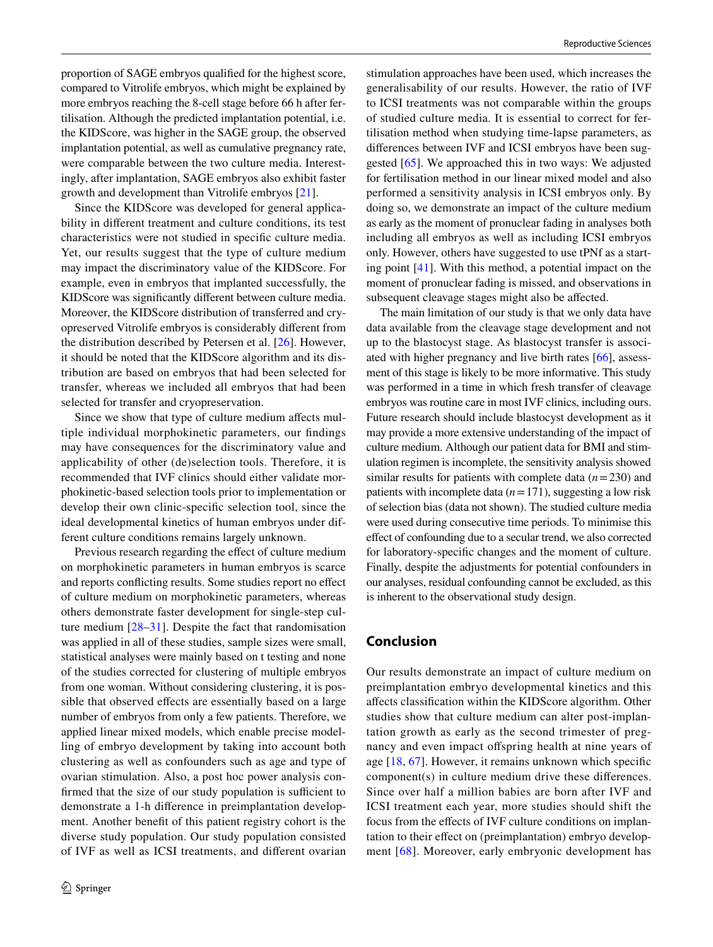proportion of SAGE embryos qualifed for the highest score, compared to Vitrolife embryos, which might be explained by more embryos reaching the 8-cell stage before 66 h after fertilisation. Although the predicted implantation potential, i.e. the KIDScore, was higher in the SAGE group, the observed implantation potential, as well as cumulative pregnancy rate, were comparable between the two culture media. Interestingly, after implantation, SAGE embryos also exhibit faster growth and development than Vitrolife embryos [\[21\]](#page-9-4).

Since the KIDScore was developed for general applicability in diferent treatment and culture conditions, its test characteristics were not studied in specifc culture media. Yet, our results suggest that the type of culture medium may impact the discriminatory value of the KIDScore. For example, even in embryos that implanted successfully, the KIDScore was signifcantly diferent between culture media. Moreover, the KIDScore distribution of transferred and cryopreserved Vitrolife embryos is considerably diferent from the distribution described by Petersen et al. [[26](#page-9-8)]. However, it should be noted that the KIDScore algorithm and its distribution are based on embryos that had been selected for transfer, whereas we included all embryos that had been selected for transfer and cryopreservation.

Since we show that type of culture medium afects multiple individual morphokinetic parameters, our fndings may have consequences for the discriminatory value and applicability of other (de)selection tools. Therefore, it is recommended that IVF clinics should either validate morphokinetic-based selection tools prior to implementation or develop their own clinic-specifc selection tool, since the ideal developmental kinetics of human embryos under different culture conditions remains largely unknown.

Previous research regarding the effect of culture medium on morphokinetic parameters in human embryos is scarce and reports conficting results. Some studies report no efect of culture medium on morphokinetic parameters, whereas others demonstrate faster development for single-step culture medium [[28–](#page-9-10)[31](#page-9-11)]. Despite the fact that randomisation was applied in all of these studies, sample sizes were small, statistical analyses were mainly based on t testing and none of the studies corrected for clustering of multiple embryos from one woman. Without considering clustering, it is possible that observed effects are essentially based on a large number of embryos from only a few patients. Therefore, we applied linear mixed models, which enable precise modelling of embryo development by taking into account both clustering as well as confounders such as age and type of ovarian stimulation. Also, a post hoc power analysis confirmed that the size of our study population is sufficient to demonstrate a 1-h diference in preimplantation development. Another beneft of this patient registry cohort is the diverse study population. Our study population consisted of IVF as well as ICSI treatments, and diferent ovarian stimulation approaches have been used, which increases the generalisability of our results. However, the ratio of IVF to ICSI treatments was not comparable within the groups of studied culture media. It is essential to correct for fertilisation method when studying time-lapse parameters, as diferences between IVF and ICSI embryos have been suggested [[65](#page-10-13)]. We approached this in two ways: We adjusted for fertilisation method in our linear mixed model and also performed a sensitivity analysis in ICSI embryos only. By doing so, we demonstrate an impact of the culture medium as early as the moment of pronuclear fading in analyses both including all embryos as well as including ICSI embryos only. However, others have suggested to use tPNf as a starting point [[41\]](#page-9-19). With this method, a potential impact on the moment of pronuclear fading is missed, and observations in subsequent cleavage stages might also be afected.

The main limitation of our study is that we only data have data available from the cleavage stage development and not up to the blastocyst stage. As blastocyst transfer is associated with higher pregnancy and live birth rates [\[66](#page-10-14)], assessment of this stage is likely to be more informative. This study was performed in a time in which fresh transfer of cleavage embryos was routine care in most IVF clinics, including ours. Future research should include blastocyst development as it may provide a more extensive understanding of the impact of culture medium. Although our patient data for BMI and stimulation regimen is incomplete, the sensitivity analysis showed similar results for patients with complete data (*n*=230) and patients with incomplete data (*n*=171), suggesting a low risk of selection bias (data not shown). The studied culture media were used during consecutive time periods. To minimise this efect of confounding due to a secular trend, we also corrected for laboratory-specifc changes and the moment of culture. Finally, despite the adjustments for potential confounders in our analyses, residual confounding cannot be excluded, as this is inherent to the observational study design.

## **Conclusion**

Our results demonstrate an impact of culture medium on preimplantation embryo developmental kinetics and this afects classifcation within the KIDScore algorithm. Other studies show that culture medium can alter post-implantation growth as early as the second trimester of pregnancy and even impact ofspring health at nine years of age [\[18](#page-9-2), [67\]](#page-10-15). However, it remains unknown which specifc component(s) in culture medium drive these diferences. Since over half a million babies are born after IVF and ICSI treatment each year, more studies should shift the focus from the efects of IVF culture conditions on implantation to their efect on (preimplantation) embryo development [[68](#page-10-16)]. Moreover, early embryonic development has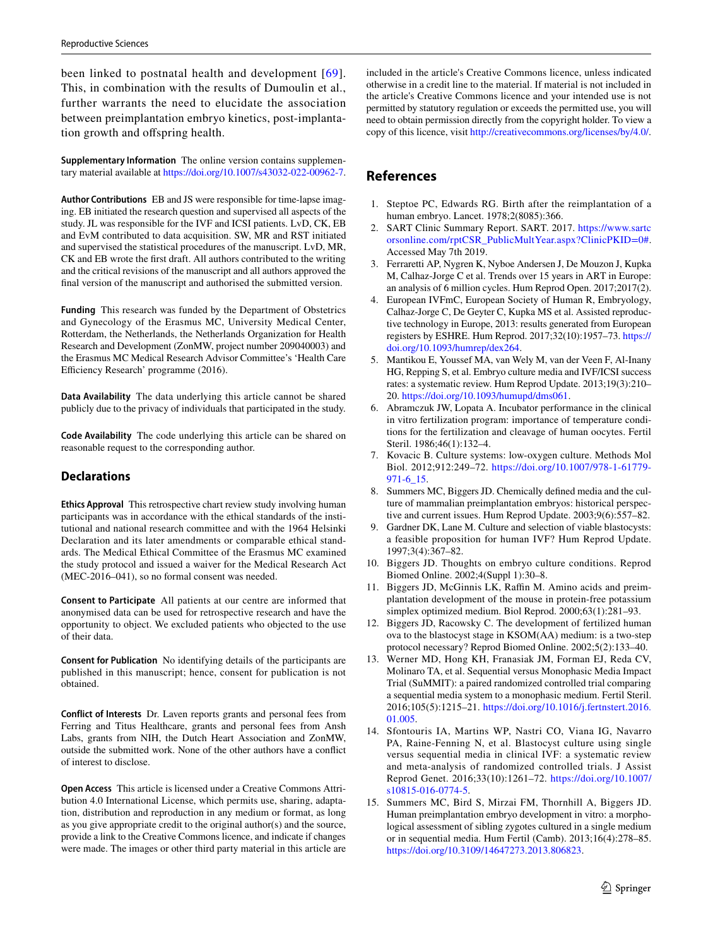been linked to postnatal health and development [[69\]](#page-10-17). This, in combination with the results of Dumoulin et al., further warrants the need to elucidate the association between preimplantation embryo kinetics, post-implantation growth and offspring health.

**Supplementary Information** The online version contains supplementary material available at<https://doi.org/10.1007/s43032-022-00962-7>.

**Author Contributions** EB and JS were responsible for time-lapse imaging. EB initiated the research question and supervised all aspects of the study. JL was responsible for the IVF and ICSI patients. LvD, CK, EB and EvM contributed to data acquisition. SW, MR and RST initiated and supervised the statistical procedures of the manuscript. LvD, MR, CK and EB wrote the frst draft. All authors contributed to the writing and the critical revisions of the manuscript and all authors approved the fnal version of the manuscript and authorised the submitted version.

**Funding** This research was funded by the Department of Obstetrics and Gynecology of the Erasmus MC, University Medical Center, Rotterdam, the Netherlands, the Netherlands Organization for Health Research and Development (ZonMW, project number 209040003) and the Erasmus MC Medical Research Advisor Committee's 'Health Care Efficiency Research' programme (2016).

**Data Availability** The data underlying this article cannot be shared publicly due to the privacy of individuals that participated in the study.

**Code Availability** The code underlying this article can be shared on reasonable request to the corresponding author.

## **Declarations**

**Ethics Approval** This retrospective chart review study involving human participants was in accordance with the ethical standards of the institutional and national research committee and with the 1964 Helsinki Declaration and its later amendments or comparable ethical standards. The Medical Ethical Committee of the Erasmus MC examined the study protocol and issued a waiver for the Medical Research Act (MEC-2016–041), so no formal consent was needed.

**Consent to Participate** All patients at our centre are informed that anonymised data can be used for retrospective research and have the opportunity to object. We excluded patients who objected to the use of their data.

**Consent for Publication** No identifying details of the participants are published in this manuscript; hence, consent for publication is not obtained.

**Conflict of Interests** Dr. Laven reports grants and personal fees from Ferring and Titus Healthcare, grants and personal fees from Ansh Labs, grants from NIH, the Dutch Heart Association and ZonMW, outside the submitted work. None of the other authors have a confict of interest to disclose.

**Open Access** This article is licensed under a Creative Commons Attribution 4.0 International License, which permits use, sharing, adaptation, distribution and reproduction in any medium or format, as long as you give appropriate credit to the original author(s) and the source, provide a link to the Creative Commons licence, and indicate if changes were made. The images or other third party material in this article are included in the article's Creative Commons licence, unless indicated otherwise in a credit line to the material. If material is not included in the article's Creative Commons licence and your intended use is not permitted by statutory regulation or exceeds the permitted use, you will need to obtain permission directly from the copyright holder. To view a copy of this licence, visit<http://creativecommons.org/licenses/by/4.0/>.

# **References**

- <span id="page-8-0"></span>1. Steptoe PC, Edwards RG. Birth after the reimplantation of a human embryo. Lancet. 1978;2(8085):366.
- 2. SART Clinic Summary Report. SART. 2017. [https://www.sartc](https://www.sartcorsonline.com/rptCSR_PublicMultYear.aspx?ClinicPKID=0#) [orsonline.com/rptCSR\\_PublicMultYear.aspx?ClinicPKID=0#](https://www.sartcorsonline.com/rptCSR_PublicMultYear.aspx?ClinicPKID=0#). Accessed May 7th 2019.
- 3. Ferraretti AP, Nygren K, Nyboe Andersen J, De Mouzon J, Kupka M, Calhaz-Jorge C et al. Trends over 15 years in ART in Europe: an analysis of 6 million cycles. Hum Reprod Open. 2017;2017(2).
- <span id="page-8-1"></span>4. European IVFmC, European Society of Human R, Embryology, Calhaz-Jorge C, De Geyter C, Kupka MS et al. Assisted reproductive technology in Europe, 2013: results generated from European registers by ESHRE. Hum Reprod. 2017;32(10):1957–73. [https://](https://doi.org/10.1093/humrep/dex264) [doi.org/10.1093/humrep/dex264](https://doi.org/10.1093/humrep/dex264).
- <span id="page-8-2"></span>5. Mantikou E, Youssef MA, van Wely M, van der Veen F, Al-Inany HG, Repping S, et al. Embryo culture media and IVF/ICSI success rates: a systematic review. Hum Reprod Update. 2013;19(3):210– 20. [https://doi.org/10.1093/humupd/dms061.](https://doi.org/10.1093/humupd/dms061)
- 6. Abramczuk JW, Lopata A. Incubator performance in the clinical in vitro fertilization program: importance of temperature conditions for the fertilization and cleavage of human oocytes. Fertil Steril. 1986;46(1):132–4.
- <span id="page-8-3"></span>7. Kovacic B. Culture systems: low-oxygen culture. Methods Mol Biol. 2012;912:249–72. [https://doi.org/10.1007/978-1-61779-](https://doi.org/10.1007/978-1-61779-971-6_15) [971-6\\_15](https://doi.org/10.1007/978-1-61779-971-6_15).
- <span id="page-8-4"></span>8. Summers MC, Biggers JD. Chemically defned media and the culture of mammalian preimplantation embryos: historical perspective and current issues. Hum Reprod Update. 2003;9(6):557–82.
- <span id="page-8-5"></span>9. Gardner DK, Lane M. Culture and selection of viable blastocysts: a feasible proposition for human IVF? Hum Reprod Update. 1997;3(4):367–82.
- <span id="page-8-6"></span>10. Biggers JD. Thoughts on embryo culture conditions. Reprod Biomed Online. 2002;4(Suppl 1):30–8.
- 11. Biggers JD, McGinnis LK, Raffin M. Amino acids and preimplantation development of the mouse in protein-free potassium simplex optimized medium. Biol Reprod. 2000;63(1):281–93.
- <span id="page-8-7"></span>12. Biggers JD, Racowsky C. The development of fertilized human ova to the blastocyst stage in KSOM(AA) medium: is a two-step protocol necessary? Reprod Biomed Online. 2002;5(2):133–40.
- <span id="page-8-8"></span>13. Werner MD, Hong KH, Franasiak JM, Forman EJ, Reda CV, Molinaro TA, et al. Sequential versus Monophasic Media Impact Trial (SuMMIT): a paired randomized controlled trial comparing a sequential media system to a monophasic medium. Fertil Steril. 2016;105(5):1215–21. [https://doi.org/10.1016/j.fertnstert.2016.](https://doi.org/10.1016/j.fertnstert.2016.01.005) [01.005.](https://doi.org/10.1016/j.fertnstert.2016.01.005)
- 14. Sfontouris IA, Martins WP, Nastri CO, Viana IG, Navarro PA, Raine-Fenning N, et al. Blastocyst culture using single versus sequential media in clinical IVF: a systematic review and meta-analysis of randomized controlled trials. J Assist Reprod Genet. 2016;33(10):1261–72. [https://doi.org/10.1007/](https://doi.org/10.1007/s10815-016-0774-5) [s10815-016-0774-5.](https://doi.org/10.1007/s10815-016-0774-5)
- 15. Summers MC, Bird S, Mirzai FM, Thornhill A, Biggers JD. Human preimplantation embryo development in vitro: a morphological assessment of sibling zygotes cultured in a single medium or in sequential media. Hum Fertil (Camb). 2013;16(4):278–85. [https://doi.org/10.3109/14647273.2013.806823.](https://doi.org/10.3109/14647273.2013.806823)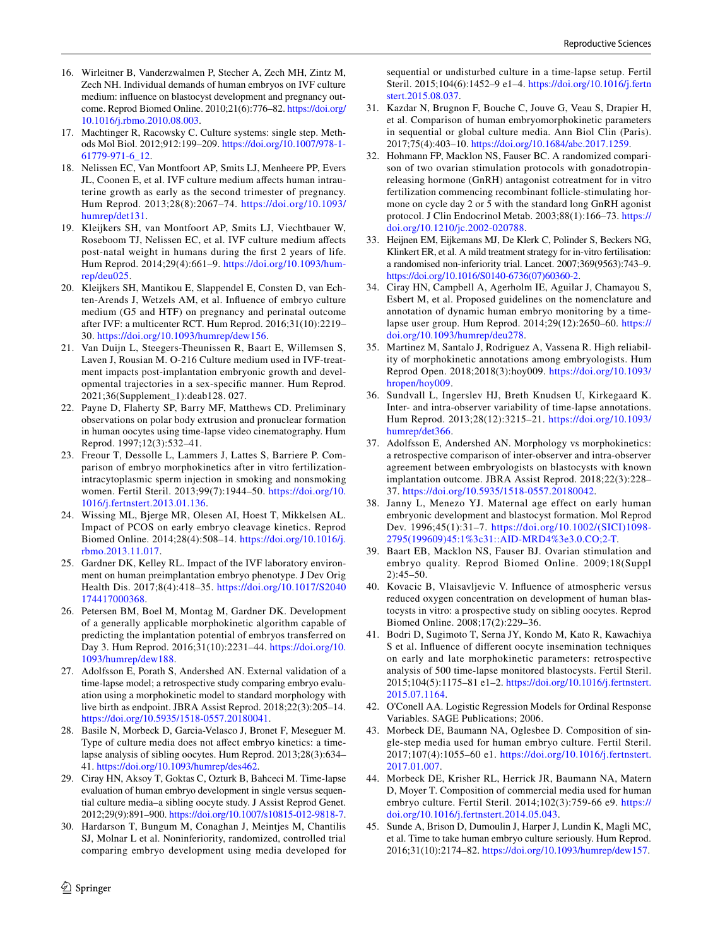- <span id="page-9-0"></span>16. Wirleitner B, Vanderzwalmen P, Stecher A, Zech MH, Zintz M, Zech NH. Individual demands of human embryos on IVF culture medium: infuence on blastocyst development and pregnancy outcome. Reprod Biomed Online. 2010;21(6):776–82. [https://doi.org/](https://doi.org/10.1016/j.rbmo.2010.08.003) [10.1016/j.rbmo.2010.08.003](https://doi.org/10.1016/j.rbmo.2010.08.003).
- <span id="page-9-1"></span>17. Machtinger R, Racowsky C. Culture systems: single step. Methods Mol Biol. 2012;912:199–209. [https://doi.org/10.1007/978-1-](https://doi.org/10.1007/978-1-61779-971-6_12) [61779-971-6\\_12](https://doi.org/10.1007/978-1-61779-971-6_12).
- <span id="page-9-2"></span>18. Nelissen EC, Van Montfoort AP, Smits LJ, Menheere PP, Evers JL, Coonen E, et al. IVF culture medium afects human intrauterine growth as early as the second trimester of pregnancy. Hum Reprod. 2013;28(8):2067–74. [https://doi.org/10.1093/](https://doi.org/10.1093/humrep/det131) [humrep/det131.](https://doi.org/10.1093/humrep/det131)
- 19. Kleijkers SH, van Montfoort AP, Smits LJ, Viechtbauer W, Roseboom TJ, Nelissen EC, et al. IVF culture medium afects post-natal weight in humans during the frst 2 years of life. Hum Reprod. 2014;29(4):661–9. [https://doi.org/10.1093/hum](https://doi.org/10.1093/humrep/deu025)[rep/deu025.](https://doi.org/10.1093/humrep/deu025)
- <span id="page-9-3"></span>20. Kleijkers SH, Mantikou E, Slappendel E, Consten D, van Echten-Arends J, Wetzels AM, et al. Infuence of embryo culture medium (G5 and HTF) on pregnancy and perinatal outcome after IVF: a multicenter RCT. Hum Reprod. 2016;31(10):2219– 30. [https://doi.org/10.1093/humrep/dew156.](https://doi.org/10.1093/humrep/dew156)
- <span id="page-9-4"></span>21. Van Duijn L, Steegers-Theunissen R, Baart E, Willemsen S, Laven J, Rousian M. O-216 Culture medium used in IVF-treatment impacts post-implantation embryonic growth and developmental trajectories in a sex-specifc manner. Hum Reprod. 2021;36(Supplement\_1):deab128. 027.
- <span id="page-9-5"></span>22. Payne D, Flaherty SP, Barry MF, Matthews CD. Preliminary observations on polar body extrusion and pronuclear formation in human oocytes using time-lapse video cinematography. Hum Reprod. 1997;12(3):532–41.
- <span id="page-9-6"></span>23. Freour T, Dessolle L, Lammers J, Lattes S, Barriere P. Comparison of embryo morphokinetics after in vitro fertilizationintracytoplasmic sperm injection in smoking and nonsmoking women. Fertil Steril. 2013;99(7):1944–50. [https://doi.org/10.](https://doi.org/10.1016/j.fertnstert.2013.01.136) [1016/j.fertnstert.2013.01.136.](https://doi.org/10.1016/j.fertnstert.2013.01.136)
- 24. Wissing ML, Bjerge MR, Olesen AI, Hoest T, Mikkelsen AL. Impact of PCOS on early embryo cleavage kinetics. Reprod Biomed Online. 2014;28(4):508–14. [https://doi.org/10.1016/j.](https://doi.org/10.1016/j.rbmo.2013.11.017) [rbmo.2013.11.017](https://doi.org/10.1016/j.rbmo.2013.11.017).
- <span id="page-9-7"></span>25. Gardner DK, Kelley RL. Impact of the IVF laboratory environment on human preimplantation embryo phenotype. J Dev Orig Health Dis. 2017;8(4):418–35. [https://doi.org/10.1017/S2040](https://doi.org/10.1017/S2040174417000368) [174417000368.](https://doi.org/10.1017/S2040174417000368)
- <span id="page-9-8"></span>26. Petersen BM, Boel M, Montag M, Gardner DK. Development of a generally applicable morphokinetic algorithm capable of predicting the implantation potential of embryos transferred on Day 3. Hum Reprod. 2016;31(10):2231–44. [https://doi.org/10.](https://doi.org/10.1093/humrep/dew188) [1093/humrep/dew188](https://doi.org/10.1093/humrep/dew188).
- <span id="page-9-9"></span>27. Adolfsson E, Porath S, Andershed AN. External validation of a time-lapse model; a retrospective study comparing embryo evaluation using a morphokinetic model to standard morphology with live birth as endpoint. JBRA Assist Reprod. 2018;22(3):205–14. <https://doi.org/10.5935/1518-0557.20180041>.
- <span id="page-9-10"></span>28. Basile N, Morbeck D, Garcia-Velasco J, Bronet F, Meseguer M. Type of culture media does not affect embryo kinetics: a timelapse analysis of sibling oocytes. Hum Reprod. 2013;28(3):634– 41. [https://doi.org/10.1093/humrep/des462.](https://doi.org/10.1093/humrep/des462)
- 29. Ciray HN, Aksoy T, Goktas C, Ozturk B, Bahceci M. Time-lapse evaluation of human embryo development in single versus sequential culture media–a sibling oocyte study. J Assist Reprod Genet. 2012;29(9):891–900.<https://doi.org/10.1007/s10815-012-9818-7>.
- 30. Hardarson T, Bungum M, Conaghan J, Meintjes M, Chantilis SJ, Molnar L et al. Noninferiority, randomized, controlled trial comparing embryo development using media developed for

 $\circled{2}$  Springer

sequential or undisturbed culture in a time-lapse setup. Fertil Steril. 2015;104(6):1452–9 e1–4. [https://doi.org/10.1016/j.fertn](https://doi.org/10.1016/j.fertnstert.2015.08.037) [stert.2015.08.037](https://doi.org/10.1016/j.fertnstert.2015.08.037).

- <span id="page-9-11"></span>31. Kazdar N, Brugnon F, Bouche C, Jouve G, Veau S, Drapier H, et al. Comparison of human embryomorphokinetic parameters in sequential or global culture media. Ann Biol Clin (Paris). 2017;75(4):403–10. [https://doi.org/10.1684/abc.2017.1259.](https://doi.org/10.1684/abc.2017.1259)
- <span id="page-9-12"></span>32. Hohmann FP, Macklon NS, Fauser BC. A randomized comparison of two ovarian stimulation protocols with gonadotropinreleasing hormone (GnRH) antagonist cotreatment for in vitro fertilization commencing recombinant follicle-stimulating hormone on cycle day 2 or 5 with the standard long GnRH agonist protocol. J Clin Endocrinol Metab. 2003;88(1):166–73. [https://](https://doi.org/10.1210/jc.2002-020788) [doi.org/10.1210/jc.2002-020788](https://doi.org/10.1210/jc.2002-020788).
- <span id="page-9-13"></span>33. Heijnen EM, Eijkemans MJ, De Klerk C, Polinder S, Beckers NG, Klinkert ER, et al. A mild treatment strategy for in-vitro fertilisation: a randomised non-inferiority trial. Lancet. 2007;369(9563):743–9. [https://doi.org/10.1016/S0140-6736\(07\)60360-2](https://doi.org/10.1016/S0140-6736(07)60360-2).
- <span id="page-9-14"></span>34. Ciray HN, Campbell A, Agerholm IE, Aguilar J, Chamayou S, Esbert M, et al. Proposed guidelines on the nomenclature and annotation of dynamic human embryo monitoring by a timelapse user group. Hum Reprod. 2014;29(12):2650–60. [https://](https://doi.org/10.1093/humrep/deu278) [doi.org/10.1093/humrep/deu278.](https://doi.org/10.1093/humrep/deu278)
- <span id="page-9-15"></span>35. Martinez M, Santalo J, Rodriguez A, Vassena R. High reliability of morphokinetic annotations among embryologists. Hum Reprod Open. 2018;2018(3):hoy009. [https://doi.org/10.1093/](https://doi.org/10.1093/hropen/hoy009) [hropen/hoy009](https://doi.org/10.1093/hropen/hoy009).
- 36. Sundvall L, Ingerslev HJ, Breth Knudsen U, Kirkegaard K. Inter- and intra-observer variability of time-lapse annotations. Hum Reprod. 2013;28(12):3215–21. [https://doi.org/10.1093/](https://doi.org/10.1093/humrep/det366) [humrep/det366.](https://doi.org/10.1093/humrep/det366)
- <span id="page-9-16"></span>37. Adolfsson E, Andershed AN. Morphology vs morphokinetics: a retrospective comparison of inter-observer and intra-observer agreement between embryologists on blastocysts with known implantation outcome. JBRA Assist Reprod. 2018;22(3):228– 37.<https://doi.org/10.5935/1518-0557.20180042>.
- <span id="page-9-17"></span>38. Janny L, Menezo YJ. Maternal age effect on early human embryonic development and blastocyst formation. Mol Reprod Dev. 1996;45(1):31–7. [https://doi.org/10.1002/\(SICI\)1098-](https://doi.org/10.1002/(SICI)1098-2795(199609)45:1%3c31::AID-MRD4%3e3.0.CO;2-T) [2795\(199609\)45:1%3c31::AID-MRD4%3e3.0.CO;2-T](https://doi.org/10.1002/(SICI)1098-2795(199609)45:1%3c31::AID-MRD4%3e3.0.CO;2-T).
- 39. Baart EB, Macklon NS, Fauser BJ. Ovarian stimulation and embryo quality. Reprod Biomed Online. 2009;18(Suppl 2):45–50.
- <span id="page-9-18"></span>40. Kovacic B, Vlaisavljevic V. Infuence of atmospheric versus reduced oxygen concentration on development of human blastocysts in vitro: a prospective study on sibling oocytes. Reprod Biomed Online. 2008;17(2):229–36.
- <span id="page-9-19"></span>41. Bodri D, Sugimoto T, Serna JY, Kondo M, Kato R, Kawachiya S et al. Infuence of diferent oocyte insemination techniques on early and late morphokinetic parameters: retrospective analysis of 500 time-lapse monitored blastocysts. Fertil Steril. 2015;104(5):1175–81 e1–2. [https://doi.org/10.1016/j.fertnstert.](https://doi.org/10.1016/j.fertnstert.2015.07.1164) [2015.07.1164.](https://doi.org/10.1016/j.fertnstert.2015.07.1164)
- <span id="page-9-20"></span>42. O'Conell AA. Logistic Regression Models for Ordinal Response Variables. SAGE Publications; 2006.
- <span id="page-9-21"></span>43. Morbeck DE, Baumann NA, Oglesbee D. Composition of single-step media used for human embryo culture. Fertil Steril. 2017;107(4):1055–60 e1. [https://doi.org/10.1016/j.fertnstert.](https://doi.org/10.1016/j.fertnstert.2017.01.007) [2017.01.007](https://doi.org/10.1016/j.fertnstert.2017.01.007).
- 44. Morbeck DE, Krisher RL, Herrick JR, Baumann NA, Matern D, Moyer T. Composition of commercial media used for human embryo culture. Fertil Steril. 2014;102(3):759-66 e9. [https://](https://doi.org/10.1016/j.fertnstert.2014.05.043) [doi.org/10.1016/j.fertnstert.2014.05.043.](https://doi.org/10.1016/j.fertnstert.2014.05.043)
- <span id="page-9-22"></span>45. Sunde A, Brison D, Dumoulin J, Harper J, Lundin K, Magli MC, et al. Time to take human embryo culture seriously. Hum Reprod. 2016;31(10):2174–82.<https://doi.org/10.1093/humrep/dew157>.